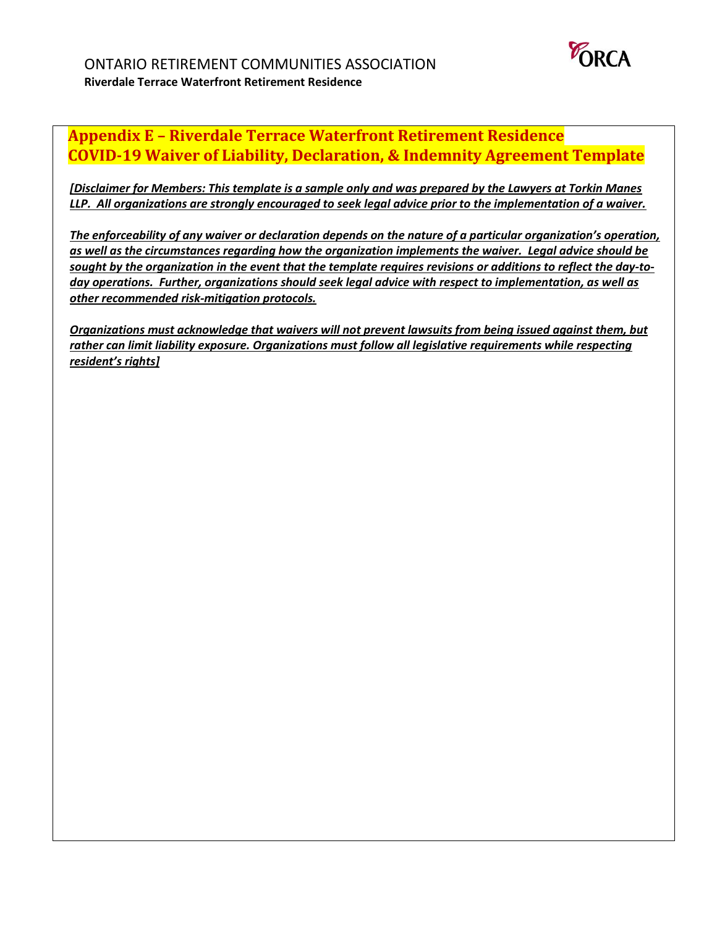

## **Appendix E – Riverdale Terrace Waterfront Retirement Residence COVID-19 Waiver of Liability, Declaration, & Indemnity Agreement Template**

*[Disclaimer for Members: This template is a sample only and was prepared by the Lawyers at Torkin Manes LLP. All organizations are strongly encouraged to seek legal advice prior to the implementation of a waiver.* 

*The enforceability of any waiver or declaration depends on the nature of a particular organization's operation, as well as the circumstances regarding how the organization implements the waiver. Legal advice should be sought by the organization in the event that the template requires revisions or additions to reflect the day-today operations. Further, organizations should seek legal advice with respect to implementation, as well as other recommended risk-mitigation protocols.* 

*Organizations must acknowledge that waivers will not prevent lawsuits from being issued against them, but rather can limit liability exposure. Organizations must follow all legislative requirements while respecting resident's rights]*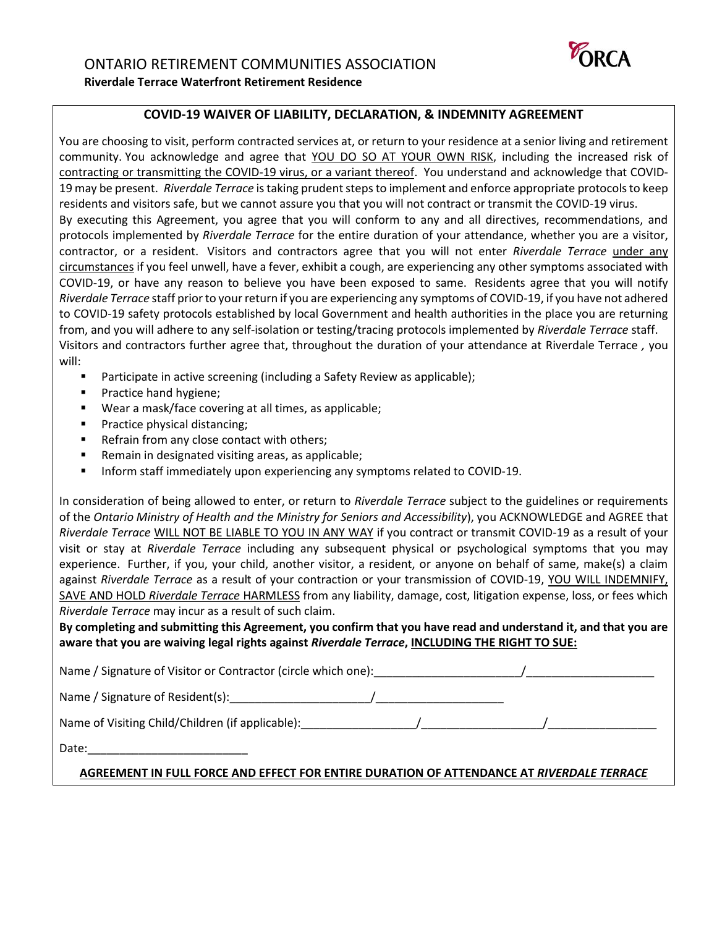

## **COVID-19 WAIVER OF LIABILITY, DECLARATION, & INDEMNITY AGREEMENT**

You are choosing to visit, perform contracted services at, or return to your residence at a senior living and retirement community. You acknowledge and agree that YOU DO SO AT YOUR OWN RISK, including the increased risk of contracting or transmitting the COVID-19 virus, or a variant thereof. You understand and acknowledge that COVID-19 may be present. *Riverdale Terrace* is taking prudent steps to implement and enforce appropriate protocols to keep residents and visitors safe, but we cannot assure you that you will not contract or transmit the COVID-19 virus. By executing this Agreement, you agree that you will conform to any and all directives, recommendations, and protocols implemented by *Riverdale Terrace* for the entire duration of your attendance, whether you are a visitor, contractor, or a resident. Visitors and contractors agree that you will not enter *Riverdale Terrace* under any circumstances if you feel unwell, have a fever, exhibit a cough, are experiencing any other symptoms associated with COVID-19, or have any reason to believe you have been exposed to same. Residents agree that you will notify *Riverdale Terrace* staff prior to your return if you are experiencing any symptoms of COVID-19, if you have not adhered to COVID-19 safety protocols established by local Government and health authorities in the place you are returning from, and you will adhere to any self-isolation or testing/tracing protocols implemented by *Riverdale Terrace* staff. Visitors and contractors further agree that, throughout the duration of your attendance at Riverdale Terrace *,* you will:

- Participate in active screening (including a Safety Review as applicable);
- Practice hand hygiene;
- Wear a mask/face covering at all times, as applicable;
- Practice physical distancing;
- Refrain from any close contact with others;
- Remain in designated visiting areas, as applicable;
- Inform staff immediately upon experiencing any symptoms related to COVID-19.

In consideration of being allowed to enter, or return to *Riverdale Terrace* subject to the guidelines or requirements of the *Ontario Ministry of Health and the Ministry for Seniors and Accessibility*), you ACKNOWLEDGE and AGREE that *Riverdale Terrace* WILL NOT BE LIABLE TO YOU IN ANY WAY if you contract or transmit COVID-19 as a result of your visit or stay at *Riverdale Terrace* including any subsequent physical or psychological symptoms that you may experience. Further, if you, your child, another visitor, a resident, or anyone on behalf of same, make(s) a claim against *Riverdale Terrace* as a result of your contraction or your transmission of COVID-19, YOU WILL INDEMNIFY, SAVE AND HOLD *Riverdale Terrace* HARMLESS from any liability, damage, cost, litigation expense, loss, or fees which *Riverdale Terrace* may incur as a result of such claim.

**By completing and submitting this Agreement, you confirm that you have read and understand it, and that you are aware that you are waiving legal rights against** *Riverdale Terrace***, INCLUDING THE RIGHT TO SUE:**

Name / Signature of Visitor or Contractor (circle which one): \_\_\_\_\_\_\_\_\_\_\_\_\_\_\_\_\_\_ Name / Signature of Resident(s):\_\_\_\_\_\_\_\_\_\_\_\_\_\_\_\_\_\_\_\_\_\_/\_\_\_\_\_\_\_\_\_\_\_\_\_\_\_\_\_\_\_\_ Name of Visiting Child/Children (if applicable):\_\_\_\_\_\_\_\_\_\_\_\_\_\_\_\_\_\_/\_\_\_\_\_\_\_\_\_\_\_\_\_\_\_\_\_\_\_/\_\_\_\_\_\_\_\_\_\_\_\_\_\_\_\_\_ Date:

## **AGREEMENT IN FULL FORCE AND EFFECT FOR ENTIRE DURATION OF ATTENDANCE AT** *RIVERDALE TERRACE*